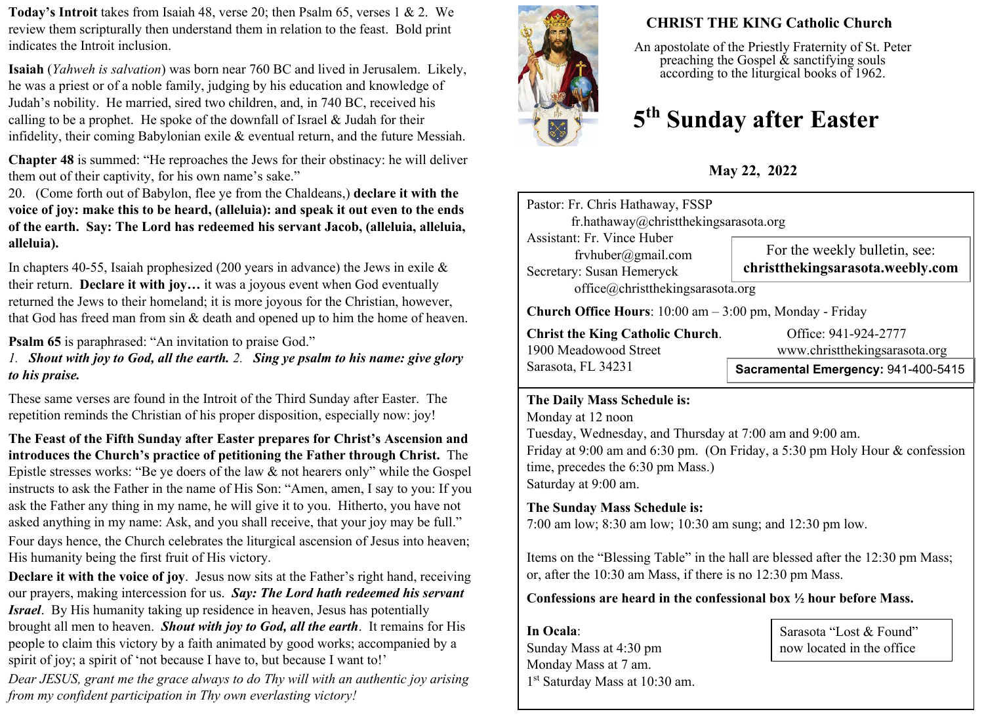**Today's Introit** takes from Isaiah 48, verse 20; then Psalm 65, verses 1 & 2. We review them scripturally then understand them in relation to the feast. Bold print indicates the Introit inclusion.

**Isaiah** (*Yahweh is salvation*) was born near 760 BC and lived in Jerusalem. Likely, he was a priest or of a noble family, judging by his education and knowledge of Judah's nobility. He married, sired two children, and, in 740 BC, received his calling to be a prophet. He spoke of the downfall of Israel  $&$  Judah for their infidelity, their coming Babylonian exile & eventual return, and the future Messiah.

**Chapter 48** is summed: "He reproaches the Jews for their obstinacy: he will deliver them out of their captivity, for his own name's sake."

20. (Come forth out of Babylon, flee ye from the Chaldeans,) **declare it with the voice of joy: make this to be heard, (alleluia): and speak it out even to the ends of the earth. Say: The Lord has redeemed his servant Jacob, (alleluia, alleluia, alleluia).** 

In chapters 40-55, Isaiah prophesized (200 years in advance) the Jews in exile  $\&$ their return. **Declare it with joy…** it was a joyous event when God eventually returned the Jews to their homeland; it is more joyous for the Christian, however, that God has freed man from sin & death and opened up to him the home of heaven.

**Psalm 65** is paraphrased: "An invitation to praise God."

*1. Shout with joy to God, all the earth. 2. Sing ye psalm to his name: give glory to his praise.*

These same verses are found in the Introit of the Third Sunday after Easter. The repetition reminds the Christian of his proper disposition, especially now: joy!

**The Feast of the Fifth Sunday after Easter prepares for Christ's Ascension and introduces the Church's practice of petitioning the Father through Christ.** The Epistle stresses works: "Be ye doers of the law & not hearers only" while the Gospel instructs to ask the Father in the name of His Son: "Amen, amen, I say to you: If you ask the Father any thing in my name, he will give it to you. Hitherto, you have not asked anything in my name: Ask, and you shall receive, that your joy may be full." Four days hence, the Church celebrates the liturgical ascension of Jesus into heaven; His humanity being the first fruit of His victory.

**Declare it with the voice of joy**. Jesus now sits at the Father's right hand, receiving our prayers, making intercession for us. *Say: The Lord hath redeemed his servant Israel*. By His humanity taking up residence in heaven, Jesus has potentially brought all men to heaven. *Shout with joy to God, all the earth*. It remains for His people to claim this victory by a faith animated by good works; accompanied by a spirit of joy; a spirit of 'not because I have to, but because I want to!'

*Dear JESUS, grant me the grace always to do Thy will with an authentic joy arising from my confident participation in Thy own everlasting victory!*



# **CHRIST THE KING Catholic Church**

An apostolate of the Priestly Fraternity of St. Peter preaching the Gospel  $\&$  sanctifying souls according to the liturgical books of 1962.

# **5 th Sunday after Easter**

**May 22, 2022**

| Pastor: Fr. Chris Hathaway, FSSP<br>fr.hathaway@christthekingsarasota.org                                                |                                                                   |  |  |  |
|--------------------------------------------------------------------------------------------------------------------------|-------------------------------------------------------------------|--|--|--|
| <b>Assistant: Fr. Vince Huber</b><br>fryhuber@gmail.com<br>Secretary: Susan Hemeryck<br>office@christthekingsarasota.org | For the weekly bulletin, see:<br>christthekingsarasota.weebly.com |  |  |  |
| <b>Church Office Hours</b> : $10:00$ am $-3:00$ pm, Monday - Friday                                                      |                                                                   |  |  |  |
| <b>Christ the King Catholic Church.</b><br>1900 Meadowood Street                                                         | Office: 941-924-2777<br>www.christthekingsarasota.org             |  |  |  |
| Sarasota, FL 34231                                                                                                       | Sacramental Emergency: 941-400-5415                               |  |  |  |

#### **The Daily Mass Schedule is:**

Monday at 12 noon Tuesday, Wednesday, and Thursday at 7:00 am and 9:00 am. Friday at 9:00 am and 6:30 pm. (On Friday, a 5:30 pm Holy Hour & confession time, precedes the 6:30 pm Mass.) Saturday at 9:00 am.

# **The Sunday Mass Schedule is:**

7:00 am low; 8:30 am low; 10:30 am sung; and 12:30 pm low.

Items on the "Blessing Table" in the hall are blessed after the 12:30 pm Mass; or, after the 10:30 am Mass, if there is no 12:30 pm Mass.

## **Confessions are heard in the confessional box ½ hour before Mass.**

**In Ocala**: Sunday Mass at 4:30 pm Monday Mass at 7 am. 1 st Saturday Mass at 10:30 am.

Sarasota "Lost & Found" now located in the office